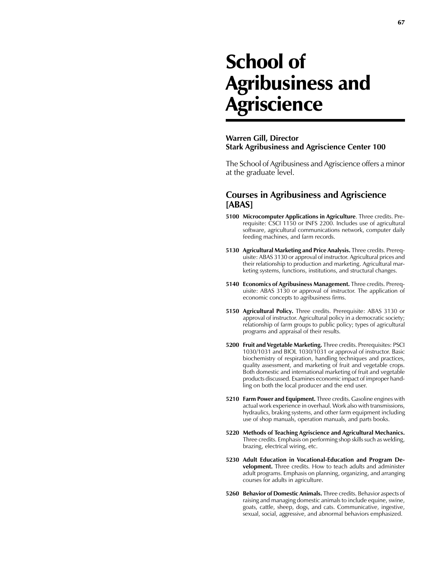## School of Agribusiness and Agriscience

## **Warren Gill, Director Stark Agribusiness and Agriscience Center 100**

The School of Agribusiness and Agriscience offers a minor at the graduate level.

## **Courses in Agribusiness and Agriscience [ABAS]**

- **5100 Microcomputer Applications in Agriculture**. Three credits. Prerequisite: CSCI 1150 or INFS 2200. Includes use of agricultural software, agricultural communications network, computer daily feeding machines, and farm records.
- **5130 Agricultural Marketing and Price Analysis.** Three credits. Prerequisite: ABAS 3130 or approval of instructor. Agricultural prices and their relationship to production and marketing. Agricultural marketing systems, functions, institutions, and structural changes.
- **5140 Economics of Agribusiness Management.** Three credits. Prerequisite: ABAS 3130 or approval of instructor. The application of economic concepts to agribusiness firms.
- **5150 Agricultural Policy.** Three credits. Prerequisite: ABAS 3130 or approval of instructor. Agricultural policy in a democratic society; relationship of farm groups to public policy; types of agricultural programs and appraisal of their results.
- **5200 Fruit and Vegetable Marketing.** Three credits. Prerequisites: PSCI 1030/1031 and BIOL 1030/1031 or approval of instructor. Basic biochemistry of respiration, handling techniques and practices, quality assessment, and marketing of fruit and vegetable crops. Both domestic and international marketing of fruit and vegetable products discussed. Examines economic impact of improper handling on both the local producer and the end user.
- **5210 Farm Power and Equipment.** Three credits. Gasoline engines with actual work experience in overhaul. Work also with transmissions, hydraulics, braking systems, and other farm equipment including use of shop manuals, operation manuals, and parts books.
- **5220 Methods of Teaching Agriscience and Agricultural Mechanics.**  Three credits. Emphasis on performing shop skills such as welding, brazing, electrical wiring, etc.
- **5230 Adult Education in Vocational-Education and Program Development.** Three credits. How to teach adults and administer adult programs. Emphasis on planning, organizing, and arranging courses for adults in agriculture.
- **5260 Behavior of Domestic Animals.** Three credits. Behavior aspects of raising and managing domestic animals to include equine, swine, goats, cattle, sheep, dogs, and cats. Communicative, ingestive, sexual, social, aggressive, and abnormal behaviors emphasized.